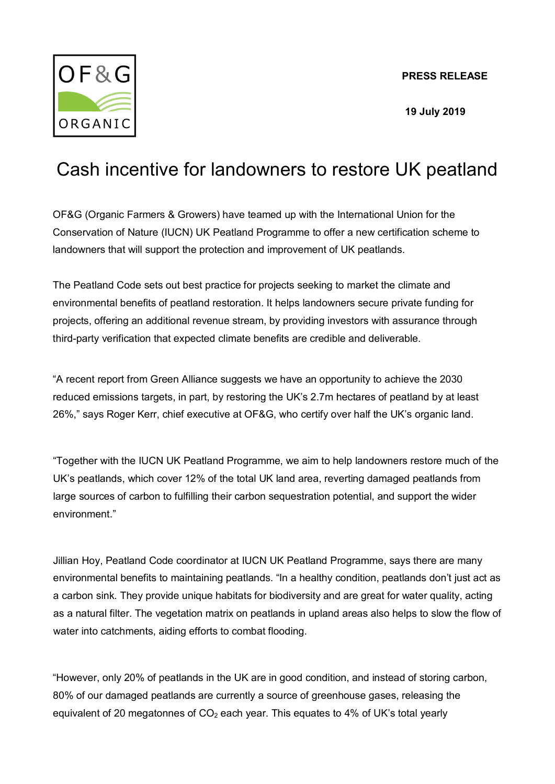**PRESS RELEASE**



 **19 July 2019**

## Cash incentive for landowners to restore UK peatland

OF&G (Organic Farmers & Growers) have teamed up with the [International Union for the](https://www.iucn-uk-peatlandprogramme.org/)  [Conservation of Nature \(IUCN\)](https://www.iucn-uk-peatlandprogramme.org/) UK Peatland Programme to offer a new certification scheme to landowners that will support the protection and improvement of UK peatlands.

The [Peatland Code](https://www.iucn-uk-peatlandprogramme.org/funding-finance/peatland-code) sets out best practice for projects seeking to market the climate and environmental benefits of peatland restoration. It helps landowners secure private funding for projects, offering an additional revenue stream, by providing investors with assurance through third-party verification that expected climate benefits are credible and deliverable.

"A recent report from Green Alliance suggests we have an opportunity to achieve the 2030 reduced emissions targets, in part, by restoring the UK's 2.7m hectares of peatland by at least 26%," says Roger Kerr, chief executive at OF&G, who certify over half the UK's organic land.

"Together with the IUCN UK Peatland Programme, we aim to help landowners restore much of the UK's peatlands, which cover 12% of the total UK land area, reverting damaged peatlands from large sources of carbon to fulfilling their carbon sequestration potential, and support the wider environment."

Jillian Hoy, Peatland Code coordinator at IUCN UK Peatland Programme, says there are many environmental benefits to maintaining peatlands. "In a healthy condition, peatlands don't just act as a carbon sink. They provide unique habitats for biodiversity and are great for water quality, acting as a natural filter. The vegetation matrix on peatlands in upland areas also helps to slow the flow of water into catchments, aiding efforts to combat flooding.

"However, only 20% of peatlands in the UK are in good condition, and instead of storing carbon, 80% of our damaged peatlands are currently a source of greenhouse gases, releasing the equivalent of 20 megatonnes of  $CO<sub>2</sub>$  each year. This equates to 4% of UK's total yearly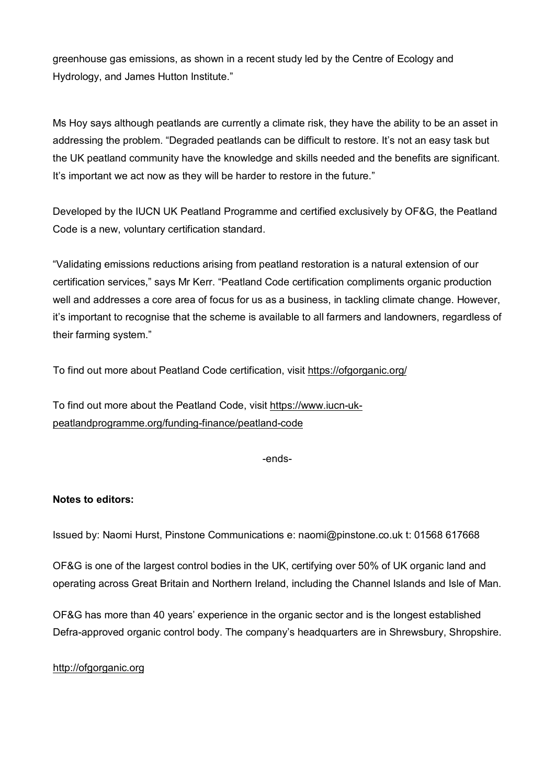greenhouse gas emissions, as shown in a recent study led by the Centre of Ecology and Hydrology, and James Hutton Institute."

Ms Hoy says although peatlands are currently a climate risk, they have the ability to be an asset in addressing the problem. "Degraded peatlands can be difficult to restore. It's not an easy task but the UK peatland community have the knowledge and skills needed and the benefits are significant. It's important we act now as they will be harder to restore in the future."

Developed by the IUCN UK Peatland Programme and certified exclusively by OF&G, the Peatland Code is a new, voluntary certification standard.

"Validating emissions reductions arising from peatland restoration is a natural extension of our certification services," says Mr Kerr. "Peatland Code certification compliments organic production well and addresses a core area of focus for us as a business, in tackling climate change. However, it's important to recognise that the scheme is available to all farmers and landowners, regardless of their farming system."

To find out more about Peatland Code certification, visit<https://ofgorganic.org/>

To find out more about the Peatland Code, visit [https://www.iucn-uk](https://www.iucn-uk-peatlandprogramme.org/funding-finance/peatland-code)[peatlandprogramme.org/funding-finance/peatland-code](https://www.iucn-uk-peatlandprogramme.org/funding-finance/peatland-code)

-ends-

## **Notes to editors:**

Issued by: Naomi Hurst, Pinstone Communications e: [naomi@pinstone.co.uk](mailto:naomi@pinstone.co.uk) t: 01568 617668

OF&G is one of the largest control bodies in the UK, certifying over 50% of UK organic land and operating across Great Britain and Northern Ireland, including the Channel Islands and Isle of Man.

OF&G has more than 40 years' experience in the organic sector and is the longest established Defra-approved organic control body. The company's headquarters are in Shrewsbury, Shropshire.

[http://ofgorganic.org](http://ofgorganic.org/)